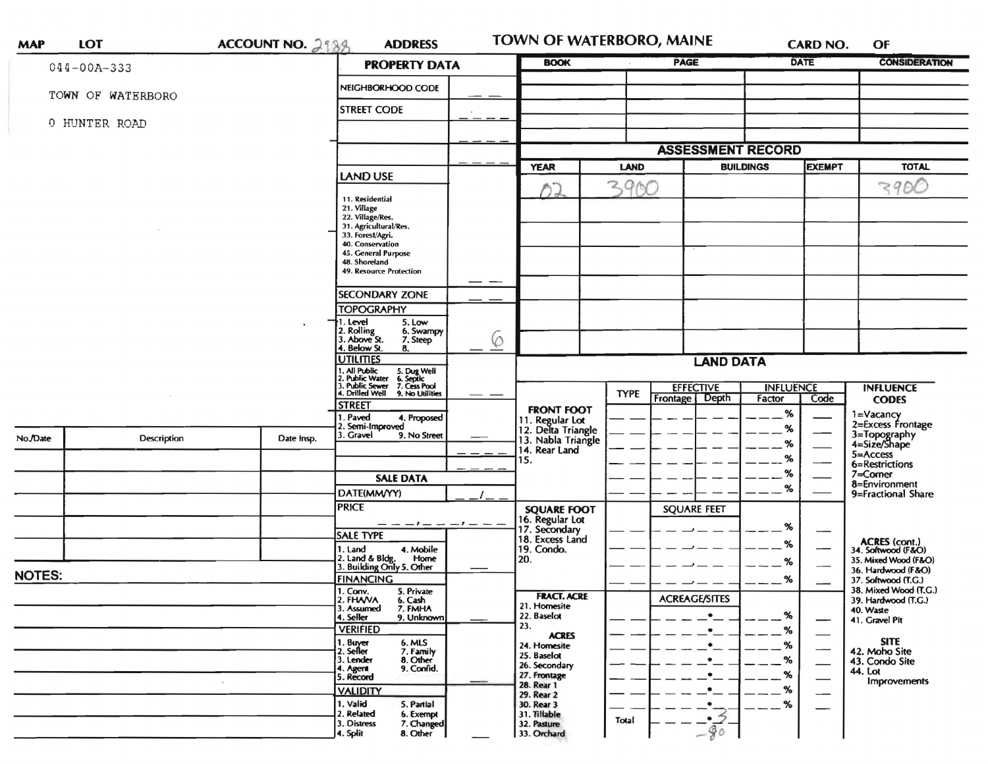| <b>MAP</b>    | <b>LOT</b>         | ACCOUNT NO. 2188 | <b>ADDRESS</b>                                                                                                                                              |        | TOWN OF WATERBORO, MAINE                                    |             |                                      |                            | <b>CARD NO.</b>                  | OF                                           |  |
|---------------|--------------------|------------------|-------------------------------------------------------------------------------------------------------------------------------------------------------------|--------|-------------------------------------------------------------|-------------|--------------------------------------|----------------------------|----------------------------------|----------------------------------------------|--|
|               | $044 - 00A - 333$  |                  | <b>PROPERTY DATA</b>                                                                                                                                        |        | <b>BOOK</b>                                                 |             | PAGE                                 |                            | <b>DATE</b>                      | <b>CONSIDERATION</b>                         |  |
|               | TOWN OF WATERBORO  |                  | NEIGHBORHOOD CODE                                                                                                                                           |        |                                                             |             |                                      |                            |                                  |                                              |  |
|               |                    |                  | <b>STREET CODE</b>                                                                                                                                          |        |                                                             |             |                                      |                            |                                  |                                              |  |
|               | 0 HUNTER ROAD      |                  |                                                                                                                                                             |        |                                                             |             |                                      |                            |                                  |                                              |  |
|               |                    |                  |                                                                                                                                                             |        |                                                             |             | <b>ASSESSMENT RECORD</b>             |                            |                                  |                                              |  |
|               |                    |                  |                                                                                                                                                             |        | <b>YEAR</b><br><b>LAND</b>                                  |             | <b>BUILDINGS</b>                     |                            | <b>EXEMPT</b>                    | <b>TOTAL</b>                                 |  |
|               |                    | <b>LAND USE</b>  |                                                                                                                                                             | n,     | 3900                                                        |             |                                      |                            | 3900                             |                                              |  |
|               |                    |                  | 11. Residential<br>21. Village<br>22. Village/Res.<br>31. Agricultural/Res.<br>33. Forest/Agri.<br>40. Conservation<br>45. General Purpose<br>48. Shoreland |        |                                                             |             |                                      |                            |                                  |                                              |  |
|               |                    |                  | 49. Resource Protection                                                                                                                                     |        |                                                             |             |                                      |                            |                                  |                                              |  |
|               |                    |                  | <b>SECONDARY ZONE</b>                                                                                                                                       |        |                                                             |             |                                      |                            |                                  |                                              |  |
|               |                    |                  | <b>TOPOGRAPHY</b><br>†1. Level<br>5. Low                                                                                                                    |        |                                                             |             |                                      |                            |                                  |                                              |  |
|               |                    |                  | 2. Rolling<br>6. Swampy<br>3. Above St.<br>7. Steep<br>4. Below St.                                                                                         | 6      |                                                             |             |                                      |                            |                                  |                                              |  |
|               |                    |                  | 8.<br><b>UTILITIES</b>                                                                                                                                      |        | <b>LAND DATA</b>                                            |             |                                      |                            |                                  |                                              |  |
|               |                    |                  | 1, All Public<br>2. Public Water<br>3. Public Sewer<br>4. Drilled Well<br>5. Dug Well<br>6. Septic<br>7. Cess Pool                                          |        |                                                             |             |                                      |                            |                                  |                                              |  |
|               |                    |                  | 9. No Utilities                                                                                                                                             | $\sim$ |                                                             | <b>TYPE</b> | <b>EFFECTIVE</b><br>Frontage   Depth | <b>INFLUENCE</b><br>Factor | Code                             | <b>INFLUENCE</b><br><b>CODES</b>             |  |
|               |                    |                  | <b>STREET</b><br>1. Paved<br>4. Proposed                                                                                                                    |        | <b>FRONT FOOT</b>                                           |             |                                      | %                          |                                  |                                              |  |
|               |                    |                  | 2. Semi-Improved<br>3. Gravel<br>9. No Street                                                                                                               |        | 11. Regular Lot<br>12. Delta Triangle<br>13. Nabla Triangle |             |                                      | %                          |                                  | 1=Vacancy<br>2=Excess Frontage               |  |
| No./Date      | <b>Description</b> | Date Insp.       |                                                                                                                                                             |        | 14. Rear Land                                               |             |                                      | %                          |                                  | 3=Topography<br>4=Size/Shape                 |  |
|               |                    |                  |                                                                                                                                                             |        | 15.                                                         |             |                                      | %                          |                                  | 5=Access<br>6=Restrictions                   |  |
|               |                    |                  | <b>SALE DATA</b>                                                                                                                                            |        |                                                             |             |                                      | %                          |                                  | $7 =$ Corner<br>8=Environment                |  |
|               |                    |                  | DATE(MM/YY)                                                                                                                                                 |        |                                                             |             |                                      | %                          |                                  | 9=Fractional Share                           |  |
|               |                    |                  | <b>PRICE</b>                                                                                                                                                |        |                                                             |             | <b>SQUARE FEET</b>                   |                            |                                  |                                              |  |
|               |                    |                  | — — — 1 — —                                                                                                                                                 |        | <b>SQUARE FOOT</b><br>16. Regular Lot<br>17. Secondary      |             |                                      | %                          |                                  |                                              |  |
|               |                    |                  | SALE TYPE                                                                                                                                                   |        | 18. Excess Land                                             |             |                                      | ℅                          |                                  | ACRES (cont.)<br>34. Softwood (F&O)          |  |
|               |                    |                  | 4. Mobile<br>1. Land<br>2. Land & Bldg. Home<br>3. Building Only 5. Other<br>Home                                                                           |        | 19. Condo.<br>20.                                           |             |                                      | %                          |                                  | 35. Mixed Wood (F&O)                         |  |
| <b>NOTES:</b> |                    |                  | <b>FINANCING</b>                                                                                                                                            |        |                                                             |             |                                      |                            |                                  | 36. Hardwood (F&O)                           |  |
|               |                    |                  | 1. Conv.                                                                                                                                                    |        |                                                             |             |                                      | %                          |                                  | 37. Softwood (T.G.)<br>38. Mixed Wood (T.G.) |  |
|               |                    |                  | 5. Private<br>6. Cash<br>2. FHAVA<br>3. Assumed<br>7. FMHA                                                                                                  |        | <b>FRACT. ACRE</b><br>21. Homesite                          |             | <b>ACREAGE/SITES</b>                 |                            |                                  | 39. Hardwood (T.G.)<br>40. Waste             |  |
|               |                    |                  | 4. Seller<br>9. Unknown                                                                                                                                     |        | 22. Baselot<br>23.                                          |             | $\bullet$                            | %                          | —                                | 41. Gravel Pit                               |  |
|               |                    |                  | <b>VERIFIED</b>                                                                                                                                             |        | <b>ACRES</b>                                                |             | $\bullet$                            | %                          | $\hspace{0.05cm}$<br><b>SITE</b> |                                              |  |
|               |                    |                  | 1. Buyer<br>6. MLS<br>2. Seller<br>7. Family                                                                                                                |        | 24. Homesite<br>25. Baselot                                 |             | $\bullet$                            | %                          |                                  | 42. Moho Site                                |  |
|               |                    |                  | 8. Other<br>3. Lender<br>9. Confid.<br>4. Agent                                                                                                             |        | 26. Secondary                                               |             |                                      | %                          | $\overbrace{\hspace{15em}}$      | 43. Condo Site<br>44. Lot                    |  |
|               |                    |                  | 5. Record                                                                                                                                                   |        | 27. Frontage<br>28. Rear 1                                  |             |                                      | %                          |                                  | <b>Improvements</b>                          |  |
|               |                    |                  | <b>VALIDITY</b>                                                                                                                                             |        | 29. Rear 2                                                  |             |                                      | %                          | ——                               |                                              |  |
|               |                    |                  | 1. Valid<br>5. Partial<br>2. Related<br>6. Exempt                                                                                                           |        | 30. Rear 3<br>31. Tillable                                  |             | .∙…                                  | %                          |                                  |                                              |  |
|               |                    |                  | 3. Distress<br>7. Changed                                                                                                                                   |        | 32. Pasture                                                 | Total       | $-\frac{2}{90}$                      |                            |                                  |                                              |  |
|               |                    |                  | 8. Other<br>4. Split                                                                                                                                        |        | 33. Orchard                                                 |             |                                      |                            |                                  |                                              |  |